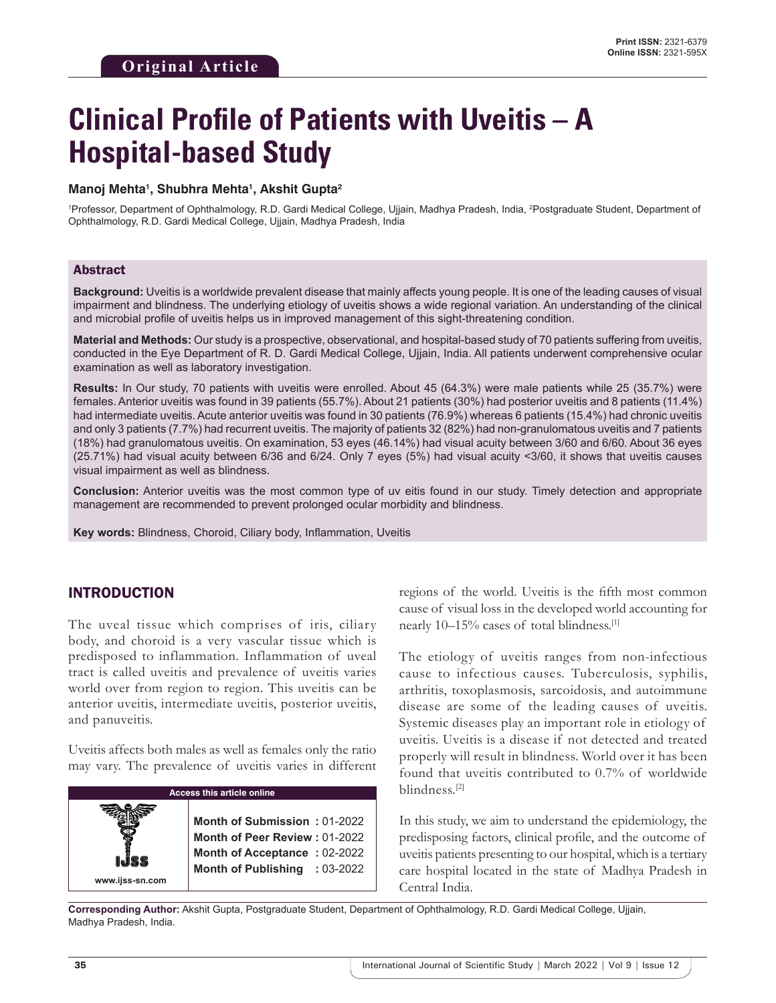# **Clinical Profile of Patients with Uveitis – A Hospital-based Study**

#### **Manoj Mehta1 , Shubhra Mehta1 , Akshit Gupta2**

1 Professor, Department of Ophthalmology, R.D. Gardi Medical College, Ujjain, Madhya Pradesh, India, 2 Postgraduate Student, Department of Ophthalmology, R.D. Gardi Medical College, Ujjain, Madhya Pradesh, India

#### Abstract

**Background:** Uveitis is a worldwide prevalent disease that mainly affects young people. It is one of the leading causes of visual impairment and blindness. The underlying etiology of uveitis shows a wide regional variation. An understanding of the clinical and microbial profile of uveitis helps us in improved management of this sight-threatening condition.

**Material and Methods:** Our study is a prospective, observational, and hospital-based study of 70 patients suffering from uveitis, conducted in the Eye Department of R. D. Gardi Medical College, Ujjain, India. All patients underwent comprehensive ocular examination as well as laboratory investigation.

**Results:** In Our study, 70 patients with uveitis were enrolled. About 45 (64.3%) were male patients while 25 (35.7%) were females. Anterior uveitis was found in 39 patients (55.7%). About 21 patients (30%) had posterior uveitis and 8 patients (11.4%) had intermediate uveitis. Acute anterior uveitis was found in 30 patients (76.9%) whereas 6 patients (15.4%) had chronic uveitis and only 3 patients (7.7%) had recurrent uveitis. The majority of patients 32 (82%) had non-granulomatous uveitis and 7 patients (18%) had granulomatous uveitis. On examination, 53 eyes (46.14%) had visual acuity between 3/60 and 6/60. About 36 eyes (25.71%) had visual acuity between 6/36 and 6/24. Only 7 eyes (5%) had visual acuity <3/60, it shows that uveitis causes visual impairment as well as blindness.

**Conclusion:** Anterior uveitis was the most common type of uv eitis found in our study. Timely detection and appropriate management are recommended to prevent prolonged ocular morbidity and blindness.

**Key words:** Blindness, Choroid, Ciliary body, Inflammation, Uveitis

## INTRODUCTION

The uveal tissue which comprises of iris, ciliary body, and choroid is a very vascular tissue which is predisposed to inflammation. Inflammation of uveal tract is called uveitis and prevalence of uveitis varies world over from region to region. This uveitis can be anterior uveitis, intermediate uveitis, posterior uveitis, and panuveitis.

Uveitis affects both males as well as females only the ratio may vary. The prevalence of uveitis varies in different

| <b>Access this article online</b> |                                                               |  |  |
|-----------------------------------|---------------------------------------------------------------|--|--|
|                                   | Month of Submission: 01-2022<br>Month of Peer Review: 01-2022 |  |  |
| www.ijss-sn.com                   | <b>Month of Acceptance: 02-2022</b>                           |  |  |
|                                   | Month of Publishing : 03-2022                                 |  |  |

regions of the world. Uveitis is the fifth most common cause of visual loss in the developed world accounting for nearly 10–15% cases of total blindness.[1]

The etiology of uveitis ranges from non-infectious cause to infectious causes. Tuberculosis, syphilis, arthritis, toxoplasmosis, sarcoidosis, and autoimmune disease are some of the leading causes of uveitis. Systemic diseases play an important role in etiology of uveitis. Uveitis is a disease if not detected and treated properly will result in blindness. World over it has been found that uveitis contributed to 0.7% of worldwide blindness.[2]

In this study, we aim to understand the epidemiology, the predisposing factors, clinical profile, and the outcome of uveitis patients presenting to our hospital, which is a tertiary care hospital located in the state of Madhya Pradesh in Central India.

**Corresponding Author:** Akshit Gupta, Postgraduate Student, Department of Ophthalmology, R.D. Gardi Medical College, Ujjain, Madhya Pradesh, India.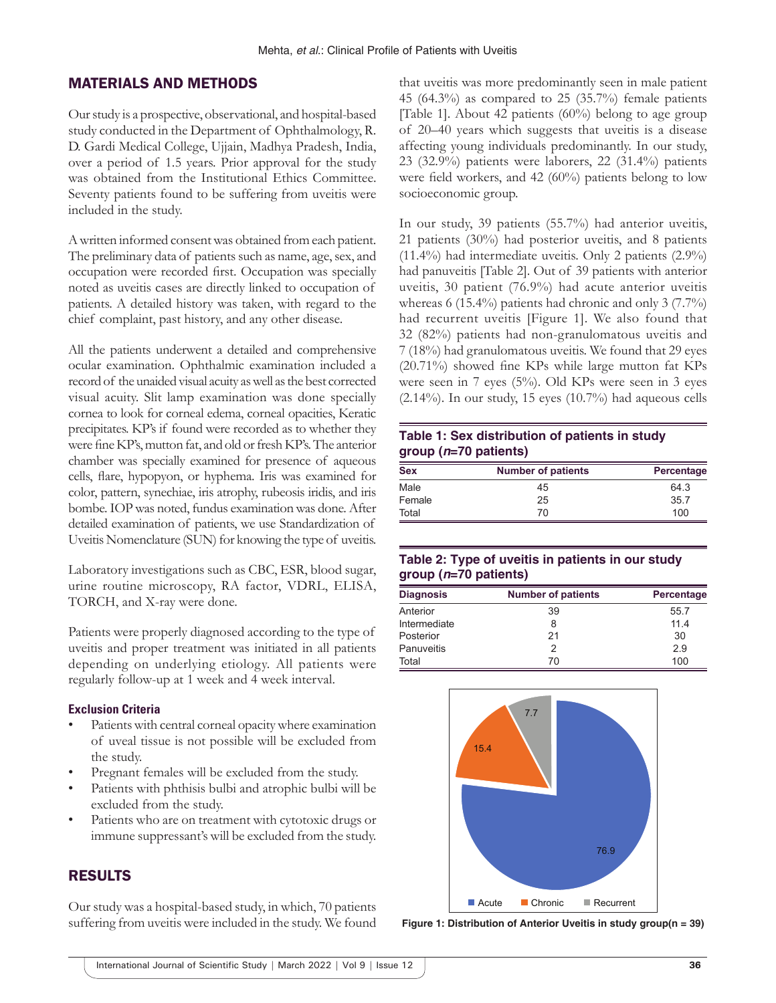## MATERIALS AND METHODS

Our study is a prospective, observational, and hospital-based study conducted in the Department of Ophthalmology, R. D. Gardi Medical College, Ujjain, Madhya Pradesh, India, over a period of 1.5 years. Prior approval for the study was obtained from the Institutional Ethics Committee. Seventy patients found to be suffering from uveitis were included in the study.

A written informed consent was obtained from each patient. The preliminary data of patients such as name, age, sex, and occupation were recorded first. Occupation was specially noted as uveitis cases are directly linked to occupation of patients. A detailed history was taken, with regard to the chief complaint, past history, and any other disease.

All the patients underwent a detailed and comprehensive ocular examination. Ophthalmic examination included a record of the unaided visual acuity as well as the best corrected visual acuity. Slit lamp examination was done specially cornea to look for corneal edema, corneal opacities, Keratic precipitates. KP's if found were recorded as to whether they were fine KP's, mutton fat, and old or fresh KP's. The anterior chamber was specially examined for presence of aqueous cells, flare, hypopyon, or hyphema. Iris was examined for color, pattern, synechiae, iris atrophy, rubeosis iridis, and iris bombe. IOP was noted, fundus examination was done. After detailed examination of patients, we use Standardization of Uveitis Nomenclature (SUN) for knowing the type of uveitis.

Laboratory investigations such as CBC, ESR, blood sugar, urine routine microscopy, RA factor, VDRL, ELISA, TORCH, and X-ray were done.

Patients were properly diagnosed according to the type of uveitis and proper treatment was initiated in all patients depending on underlying etiology. All patients were regularly follow-up at 1 week and 4 week interval.

#### **Exclusion Criteria**

- Patients with central corneal opacity where examination of uveal tissue is not possible will be excluded from the study.
- Pregnant females will be excluded from the study.
- Patients with phthisis bulbi and atrophic bulbi will be excluded from the study.
- Patients who are on treatment with cytotoxic drugs or immune suppressant's will be excluded from the study.

## RESULTS

Our study was a hospital-based study, in which, 70 patients suffering from uveitis were included in the study. We found that uveitis was more predominantly seen in male patient 45 (64.3%) as compared to 25 (35.7%) female patients [Table 1]. About 42 patients (60%) belong to age group of 20–40 years which suggests that uveitis is a disease affecting young individuals predominantly. In our study, 23 (32.9%) patients were laborers, 22 (31.4%) patients were field workers, and 42 (60%) patients belong to low socioeconomic group.

In our study, 39 patients (55.7%) had anterior uveitis, 21 patients (30%) had posterior uveitis, and 8 patients (11.4%) had intermediate uveitis. Only 2 patients (2.9%) had panuveitis [Table 2]. Out of 39 patients with anterior uveitis, 30 patient (76.9%) had acute anterior uveitis whereas 6 (15.4%) patients had chronic and only 3 (7.7%) had recurrent uveitis [Figure 1]. We also found that 32 (82%) patients had non-granulomatous uveitis and 7 (18%) had granulomatous uveitis. We found that 29 eyes (20.71%) showed fine KPs while large mutton fat KPs were seen in 7 eyes (5%). Old KPs were seen in 3 eyes  $(2.14\%)$ . In our study, 15 eyes  $(10.7\%)$  had aqueous cells

#### **Table 1: Sex distribution of patients in study group (***n***=70 patients)**

| <b>Sex</b> | <b>Number of patients</b> | Percentage |  |  |
|------------|---------------------------|------------|--|--|
| Male       | 45                        | 64.3       |  |  |
| Female     | 25                        | 35.7       |  |  |
| Total      | 70                        | 100        |  |  |

## **Table 2: Type of uveitis in patients in our study group (***n***=70 patients)**

| <b>Diagnosis</b> | <b>Number of patients</b> | Percentage |  |  |
|------------------|---------------------------|------------|--|--|
| Anterior         | 39                        | 55.7       |  |  |
| Intermediate     | 8                         | 114        |  |  |
| Posterior        | 21                        | 30         |  |  |
| Panuveitis       | 2                         | 2.9        |  |  |
| Total            | 70                        | 100        |  |  |



**Figure 1: Distribution of Anterior Uveitis in study group(n = 39)**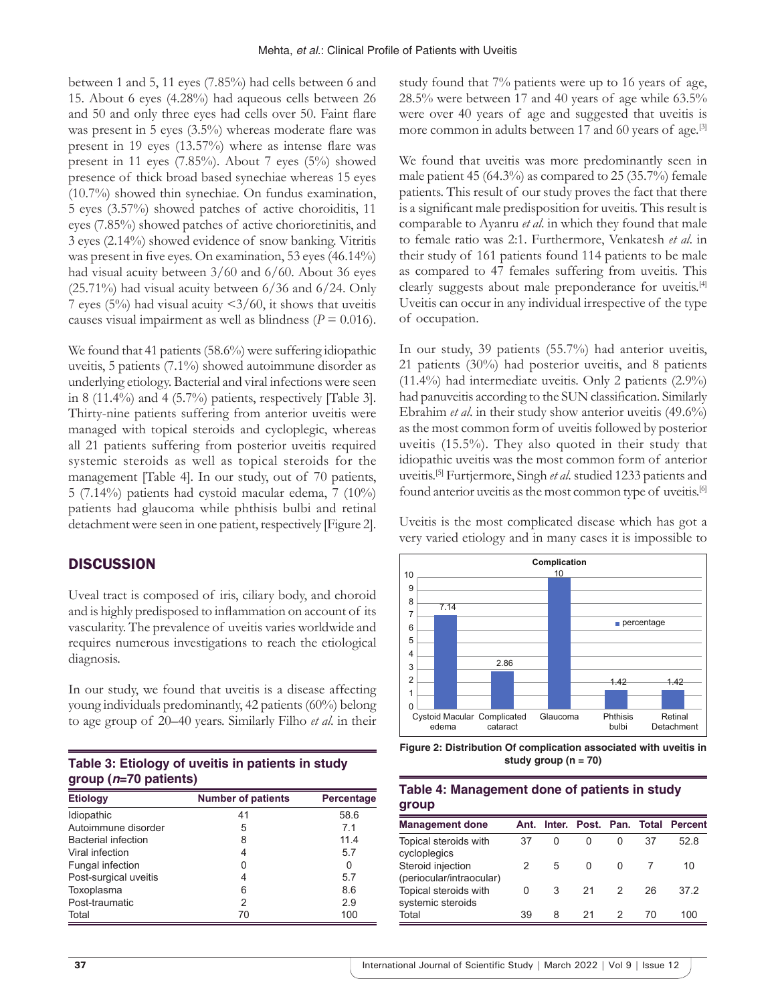between 1 and 5, 11 eyes (7.85%) had cells between 6 and 15. About 6 eyes (4.28%) had aqueous cells between 26 and 50 and only three eyes had cells over 50. Faint flare was present in 5 eyes (3.5%) whereas moderate flare was present in 19 eyes (13.57%) where as intense flare was present in 11 eyes (7.85%). About 7 eyes (5%) showed presence of thick broad based synechiae whereas 15 eyes (10.7%) showed thin synechiae. On fundus examination, 5 eyes (3.57%) showed patches of active choroiditis, 11 eyes (7.85%) showed patches of active chorioretinitis, and 3 eyes (2.14%) showed evidence of snow banking. Vitritis was present in five eyes. On examination, 53 eyes (46.14%) had visual acuity between 3/60 and 6/60. About 36 eyes  $(25.71\%)$  had visual acuity between 6/36 and 6/24. Only 7 eyes (5%) had visual acuity  $\langle 3/60 \rangle$ , it shows that uveitis causes visual impairment as well as blindness ( $P = 0.016$ ).

We found that 41 patients (58.6%) were suffering idiopathic uveitis, 5 patients (7.1%) showed autoimmune disorder as underlying etiology. Bacterial and viral infections were seen in 8 (11.4%) and 4 (5.7%) patients, respectively [Table 3]. Thirty-nine patients suffering from anterior uveitis were managed with topical steroids and cycloplegic, whereas all 21 patients suffering from posterior uveitis required systemic steroids as well as topical steroids for the management [Table 4]. In our study, out of 70 patients, 5 (7.14%) patients had cystoid macular edema, 7 (10%) patients had glaucoma while phthisis bulbi and retinal detachment were seen in one patient, respectively [Figure 2].

## **DISCUSSION**

Uveal tract is composed of iris, ciliary body, and choroid and is highly predisposed to inflammation on account of its vascularity. The prevalence of uveitis varies worldwide and requires numerous investigations to reach the etiological diagnosis.

In our study, we found that uveitis is a disease affecting young individuals predominantly, 42 patients (60%) belong to age group of 20–40 years. Similarly Filho *et al*. in their

**Table 3: Etiology of uveitis in patients in study group (***n***=70 patients)**

| <b>Etiology</b>            | <b>Number of patients</b> | Percentage |  |
|----------------------------|---------------------------|------------|--|
| Idiopathic                 | 41                        | 58.6       |  |
| Autoimmune disorder        | 5                         | 71         |  |
| <b>Bacterial infection</b> | 8                         | 11.4       |  |
| Viral infection            | 4                         | 5.7        |  |
| <b>Fungal infection</b>    | 0                         | O          |  |
| Post-surgical uveitis      | 4                         | 5.7        |  |
| Toxoplasma                 | 6                         | 8.6        |  |
| Post-traumatic             | 2                         | 2.9        |  |
| Total                      | 70                        | 100        |  |

study found that 7% patients were up to 16 years of age, 28.5% were between 17 and 40 years of age while 63.5% were over 40 years of age and suggested that uveitis is more common in adults between 17 and 60 years of age.<sup>[3]</sup>

We found that uveitis was more predominantly seen in male patient 45 (64.3%) as compared to 25 (35.7%) female patients. This result of our study proves the fact that there is a significant male predisposition for uveitis. This result is comparable to Ayanru *et al*. in which they found that male to female ratio was 2:1. Furthermore, Venkatesh *et al*. in their study of 161 patients found 114 patients to be male as compared to 47 females suffering from uveitis. This clearly suggests about male preponderance for uveitis.<sup>[4]</sup> Uveitis can occur in any individual irrespective of the type of occupation.

In our study, 39 patients (55.7%) had anterior uveitis, 21 patients (30%) had posterior uveitis, and 8 patients  $(11.4\%)$  had intermediate uveitis. Only 2 patients  $(2.9\%)$ had panuveitis according to the SUN classification. Similarly Ebrahim *et al*. in their study show anterior uveitis (49.6%) as the most common form of uveitis followed by posterior uveitis (15.5%). They also quoted in their study that idiopathic uveitis was the most common form of anterior uveitis.[5] Furtjermore, Singh *et al*. studied 1233 patients and found anterior uveitis as the most common type of uveitis.<sup>[6]</sup>

Uveitis is the most complicated disease which has got a very varied etiology and in many cases it is impossible to



**Figure 2: Distribution Of complication associated with uveitis in study group (n = 70)**

| Table 4: Management done of patients in study |  |
|-----------------------------------------------|--|
| group                                         |  |

| <b>Management done</b>                        | Ant. |   | Inter. Post. Pan. Total |               |    | <b>Percent</b> |
|-----------------------------------------------|------|---|-------------------------|---------------|----|----------------|
| Topical steroids with<br>cycloplegics         | 37   | 0 | O                       | 0             | 37 | 528            |
| Steroid injection<br>(periocular/intraocular) |      | 5 | $\Omega$                | O             |    | 10             |
| Topical steroids with<br>systemic steroids    | 0    | 3 | 21                      | $\mathcal{P}$ | 26 | 37.2           |
| Total                                         | 39   | 8 | 21                      |               | 70 | 100            |